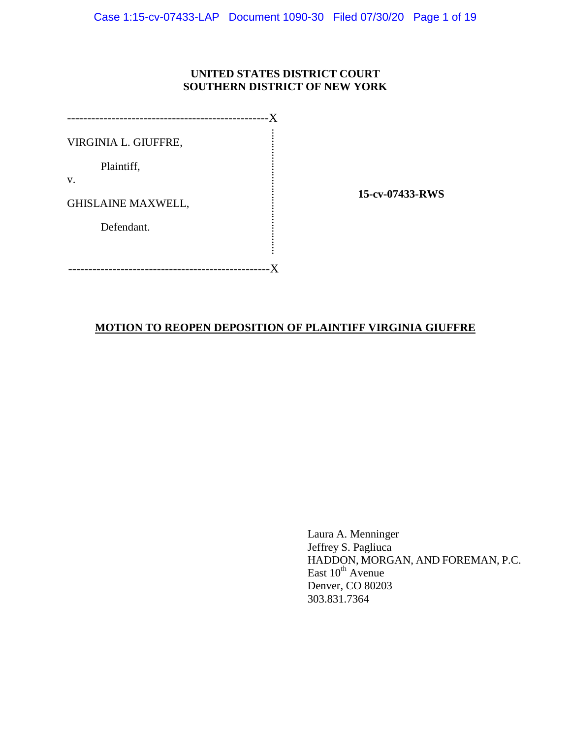# **UNITED STATES DISTRICT COURT SOUTHERN DISTRICT OF NEW YORK**

| VIRGINIA L. GIUFFRE,      |                 |
|---------------------------|-----------------|
| Plaintiff,                |                 |
| V.                        | 15-cv-07433-RWS |
| <b>GHISLAINE MAXWELL,</b> |                 |
| Defendant.                |                 |
|                           |                 |
|                           |                 |
|                           |                 |
|                           |                 |

Laura A. Menninger Jeffrey S. Pagliuca HADDON, MORGAN, AND FOREMAN, P.C. East  $10^{th}$  Avenue Denver, CO 80203 303.831.7364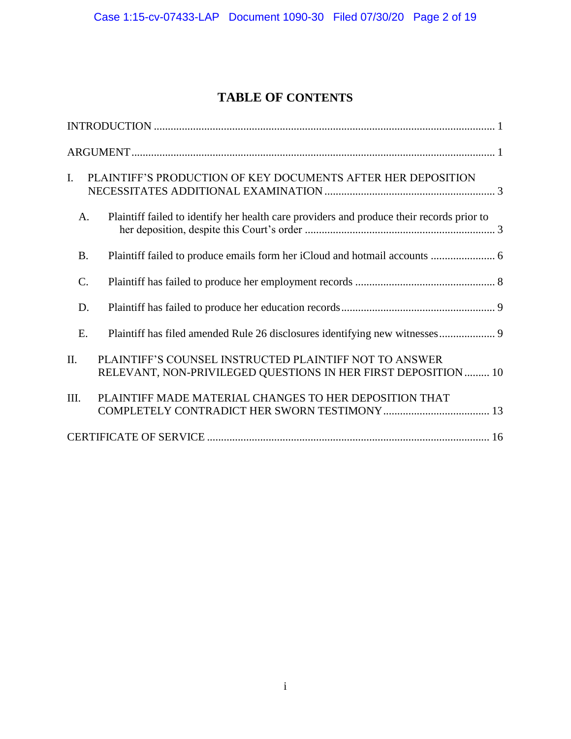# **TABLE OF CONTENTS**

| $\mathbf{I}$ .  | PLAINTIFF'S PRODUCTION OF KEY DOCUMENTS AFTER HER DEPOSITION                                                             |
|-----------------|--------------------------------------------------------------------------------------------------------------------------|
| A.              | Plaintiff failed to identify her health care providers and produce their records prior to                                |
| <b>B.</b>       |                                                                                                                          |
| $\mathcal{C}$ . |                                                                                                                          |
| D.              |                                                                                                                          |
| E.              | Plaintiff has filed amended Rule 26 disclosures identifying new witnesses 9                                              |
| II.             | PLAINTIFF'S COUNSEL INSTRUCTED PLAINTIFF NOT TO ANSWER<br>RELEVANT, NON-PRIVILEGED QUESTIONS IN HER FIRST DEPOSITION  10 |
| III.            | PLAINTIFF MADE MATERIAL CHANGES TO HER DEPOSITION THAT                                                                   |
|                 |                                                                                                                          |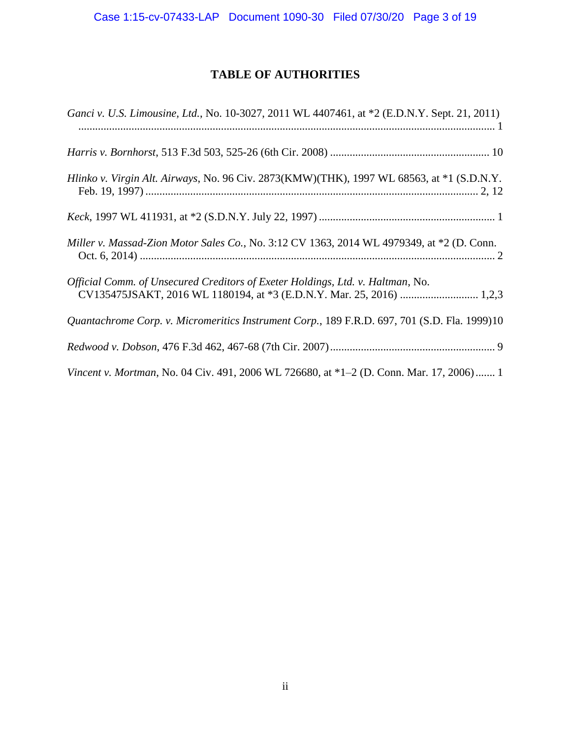# **TABLE OF AUTHORITIES**

| Ganci v. U.S. Limousine, Ltd., No. 10-3027, 2011 WL 4407461, at *2 (E.D.N.Y. Sept. 21, 2011) |
|----------------------------------------------------------------------------------------------|
|                                                                                              |
| Hlinko v. Virgin Alt. Airways, No. 96 Civ. 2873(KMW)(THK), 1997 WL 68563, at *1 (S.D.N.Y.    |
|                                                                                              |
| Miller v. Massad-Zion Motor Sales Co., No. 3:12 CV 1363, 2014 WL 4979349, at *2 (D. Conn.    |
| Official Comm. of Unsecured Creditors of Exeter Holdings, Ltd. v. Haltman, No.               |
| Quantachrome Corp. v. Micromeritics Instrument Corp., 189 F.R.D. 697, 701 (S.D. Fla. 1999)10 |
|                                                                                              |
| Vincent v. Mortman, No. 04 Civ. 491, 2006 WL 726680, at *1-2 (D. Conn. Mar. 17, 2006) 1      |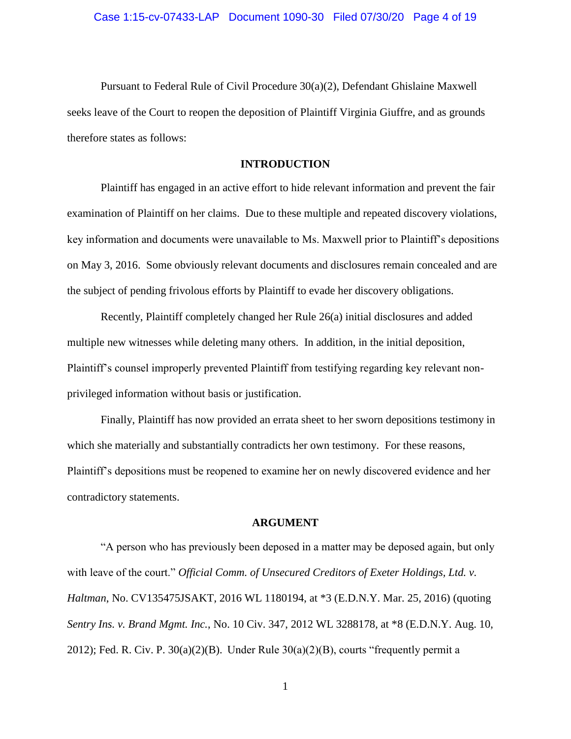Pursuant to Federal Rule of Civil Procedure 30(a)(2), Defendant Ghislaine Maxwell seeks leave of the Court to reopen the deposition of Plaintiff Virginia Giuffre, and as grounds therefore states as follows:

# **INTRODUCTION**

Plaintiff has engaged in an active effort to hide relevant information and prevent the fair examination of Plaintiff on her claims. Due to these multiple and repeated discovery violations, key information and documents were unavailable to Ms. Maxwell prior to Plaintiff's depositions on May 3, 2016. Some obviously relevant documents and disclosures remain concealed and are the subject of pending frivolous efforts by Plaintiff to evade her discovery obligations.

Recently, Plaintiff completely changed her Rule 26(a) initial disclosures and added multiple new witnesses while deleting many others. In addition, in the initial deposition, Plaintiff's counsel improperly prevented Plaintiff from testifying regarding key relevant nonprivileged information without basis or justification.

Finally, Plaintiff has now provided an errata sheet to her sworn depositions testimony in which she materially and substantially contradicts her own testimony. For these reasons, Plaintiff's depositions must be reopened to examine her on newly discovered evidence and her contradictory statements.

#### **ARGUMENT**

"A person who has previously been deposed in a matter may be deposed again, but only with leave of the court." *Official Comm. of Unsecured Creditors of Exeter Holdings, Ltd. v. Haltman*, No. CV135475JSAKT, 2016 WL 1180194, at \*3 (E.D.N.Y. Mar. 25, 2016) (quoting *Sentry Ins. v. Brand Mgmt. Inc.*, No. 10 Civ. 347, 2012 WL 3288178, at \*8 (E.D.N.Y. Aug. 10, 2012); Fed. R. Civ. P.  $30(a)(2)(B)$ . Under Rule  $30(a)(2)(B)$ , courts "frequently permit a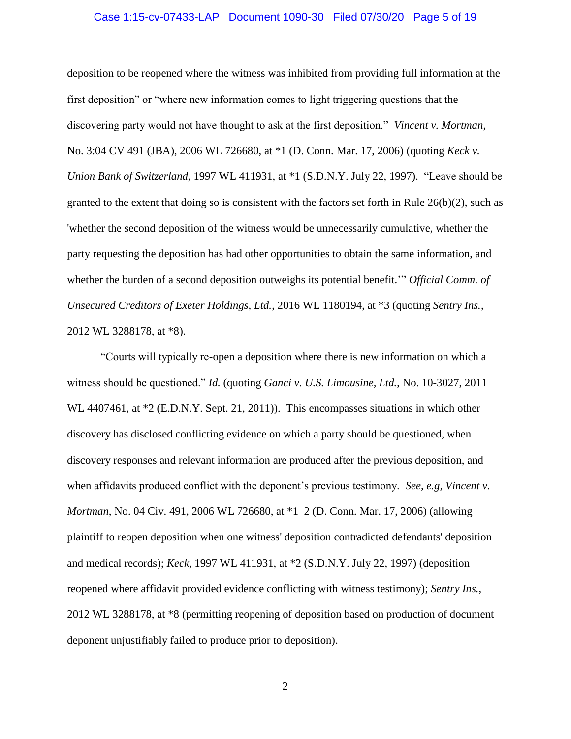#### Case 1:15-cv-07433-LAP Document 1090-30 Filed 07/30/20 Page 5 of 19

deposition to be reopened where the witness was inhibited from providing full information at the first deposition" or "where new information comes to light triggering questions that the discovering party would not have thought to ask at the first deposition." *Vincent v. Mortman*, No. 3:04 CV 491 (JBA), 2006 WL 726680, at \*1 (D. Conn. Mar. 17, 2006) (quoting *Keck v. Union Bank of Switzerland,* 1997 WL 411931, at \*1 (S.D.N.Y. July 22, 1997). "Leave should be granted to the extent that doing so is consistent with the factors set forth in Rule  $26(b)(2)$ , such as 'whether the second deposition of the witness would be unnecessarily cumulative, whether the party requesting the deposition has had other opportunities to obtain the same information, and whether the burden of a second deposition outweighs its potential benefit.'" *Official Comm. of Unsecured Creditors of Exeter Holdings, Ltd.*, 2016 WL 1180194, at \*3 (quoting *Sentry Ins.*, 2012 WL 3288178, at \*8).

"Courts will typically re-open a deposition where there is new information on which a witness should be questioned." *Id.* (quoting *Ganci v. U.S. Limousine, Ltd.*, No. 10-3027, 2011 WL 4407461, at  $*2$  (E.D.N.Y. Sept. 21, 2011)). This encompasses situations in which other discovery has disclosed conflicting evidence on which a party should be questioned, when discovery responses and relevant information are produced after the previous deposition, and when affidavits produced conflict with the deponent's previous testimony. *See, e.g, Vincent v. Mortman*, No. 04 Civ. 491, 2006 WL 726680, at \*1–2 (D. Conn. Mar. 17, 2006) (allowing plaintiff to reopen deposition when one witness' deposition contradicted defendants' deposition and medical records); *Keck*, 1997 WL 411931, at \*2 (S.D.N.Y. July 22, 1997) (deposition reopened where affidavit provided evidence conflicting with witness testimony); *Sentry Ins.*, 2012 WL 3288178, at \*8 (permitting reopening of deposition based on production of document deponent unjustifiably failed to produce prior to deposition).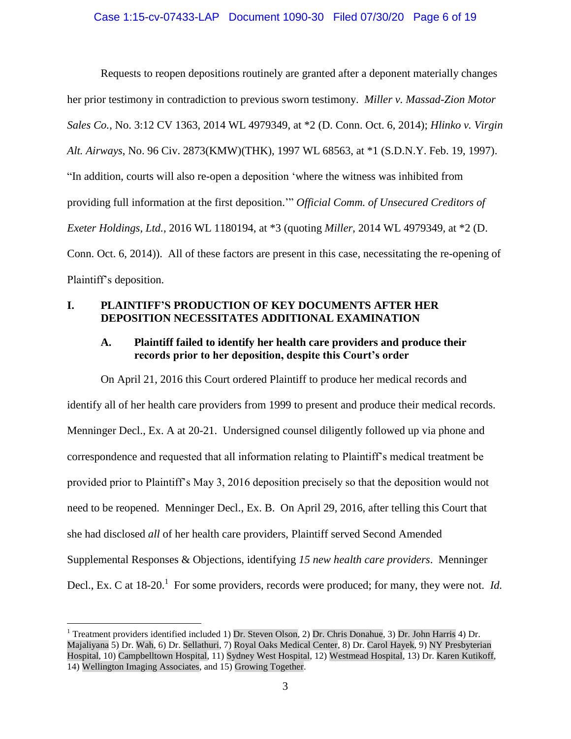Requests to reopen depositions routinely are granted after a deponent materially changes her prior testimony in contradiction to previous sworn testimony. *Miller v. Massad-Zion Motor Sales Co.*, No. 3:12 CV 1363, 2014 WL 4979349, at \*2 (D. Conn. Oct. 6, 2014); *Hlinko v. Virgin Alt. Airways*, No. 96 Civ. 2873(KMW)(THK), 1997 WL 68563, at \*1 (S.D.N.Y. Feb. 19, 1997). "In addition, courts will also re-open a deposition 'where the witness was inhibited from providing full information at the first deposition.'" *Official Comm. of Unsecured Creditors of Exeter Holdings, Ltd.*, 2016 WL 1180194, at \*3 (quoting *Miller*, 2014 WL 4979349, at \*2 (D. Conn. Oct. 6, 2014)). All of these factors are present in this case, necessitating the re-opening of Plaintiff's deposition.

# **I. PLAINTIFF'S PRODUCTION OF KEY DOCUMENTS AFTER HER DEPOSITION NECESSITATES ADDITIONAL EXAMINATION**

# **A. Plaintiff failed to identify her health care providers and produce their records prior to her deposition, despite this Court's order**

On April 21, 2016 this Court ordered Plaintiff to produce her medical records and identify all of her health care providers from 1999 to present and produce their medical records. Menninger Decl., Ex. A at 20-21. Undersigned counsel diligently followed up via phone and correspondence and requested that all information relating to Plaintiff's medical treatment be provided prior to Plaintiff's May 3, 2016 deposition precisely so that the deposition would not need to be reopened. Menninger Decl., Ex. B. On April 29, 2016, after telling this Court that she had disclosed *all* of her health care providers, Plaintiff served Second Amended Supplemental Responses & Objections, identifying *15 new health care providers*. Menninger Decl., Ex. C at 18-20.<sup>1</sup> For some providers, records were produced; for many, they were not. *Id.* 

 $\overline{a}$ 

<sup>1</sup> Treatment providers identified included 1) Dr. Steven Olson, 2) Dr. Chris Donahue, 3) Dr. John Harris 4) Dr. Majaliyana 5) Dr. Wah, 6) Dr. Sellathuri, 7) Royal Oaks Medical Center, 8) Dr. Carol Hayek, 9) NY Presbyterian Hospital, 10) Campbelltown Hospital, 11) Sydney West Hospital, 12) Westmead Hospital, 13) Dr. Karen Kutikoff, 14) Wellington Imaging Associates, and 15) Growing Together.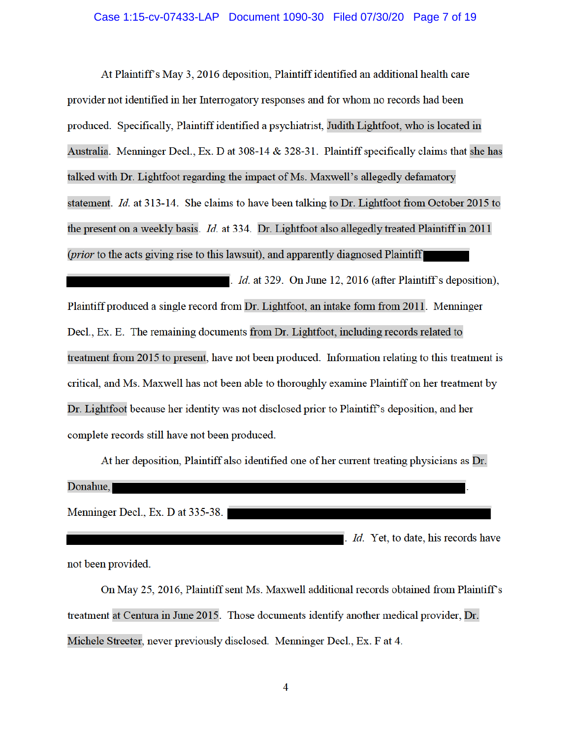At Plaintiff's May 3, 2016 deposition, Plaintiff identified an additional health care provider not identified in her Interrogatory responses and for whom no records had been produced. Specifically, Plaintiff identified a psychiatrist, Judith Lightfoot, who is located in Australia. Menninger Decl., Ex. D at 308-14 & 328-31. Plaintiff specifically claims that she has talked with Dr. Lightfoot regarding the impact of Ms. Maxwell's allegedly defamatory statement. *Id.* at 313-14. She claims to have been talking to Dr. Lightfoot from October 2015 to the present on a weekly basis. *Id.* at 334. Dr. Lightfoot also allegedly treated Plaintiff in 2011 (*prior* to the acts giving rise to this lawsuit), and apparently diagnosed Plaintiff

 $\blacksquare$ . *Id.* at 329. On June 12, 2016 (after Plaintiff's deposition), Plaintiff produced a single record from Dr. Lightfoot, an intake form from 2011. Menninger Decl., Ex. E. The remaining documents from Dr. Lightfoot, including records related to treatment from 2015 to present, have not been produced. Information relating to this treatment is critical, and Ms. Maxwell has not been able to thoroughly examine Plaintiff on her treatment by Dr. Lightfoot because her identity was not disclosed prior to Plaintiff's deposition, and her complete records still have not been produced.

At her deposition, Plaintiff also identified one of her current treating physicians as Dr.

. Id. Yet, to date, his records have

| Donahue,                          |  |
|-----------------------------------|--|
|                                   |  |
| Menninger Decl., Ex. D at 335-38. |  |

not been provided.

On May 25, 2016, Plaintiff sent Ms. Maxwell additional records obtained from Plaintiff's treatment at Centura in June 2015. Those documents identify another medical provider, Dr. Michele Streeter, never previously disclosed. Menninger Decl., Ex. F at 4.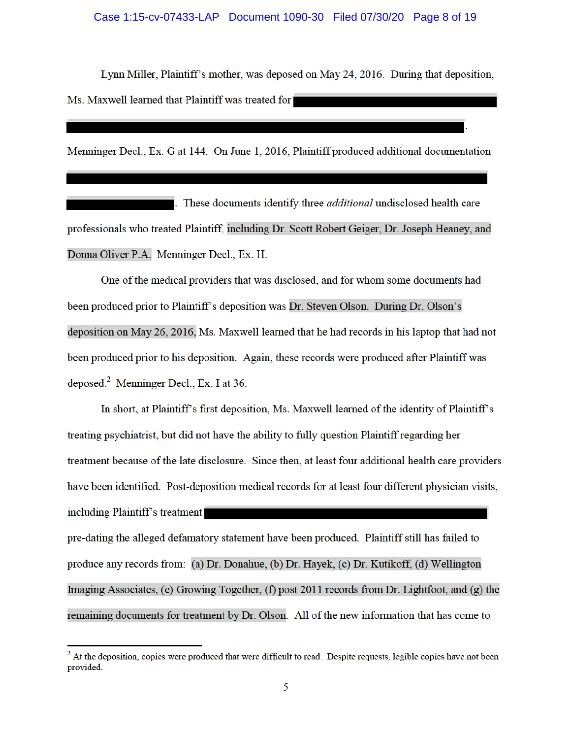Lynn Miller, Plaintiff's mother, was deposed on May 24, 2016. During that deposition, Ms. Maxwell learned that Plaintiff was treated for

Menninger Decl., Ex. G at 144. On June 1, 2016, Plaintiff produced additional documentation

These documents identify three *additional* undisclosed health care professionals who treated Plaintiff, including Dr. Scott Robert Geiger, Dr. Joseph Heaney, and Donna Oliver P.A. Menninger Decl., Ex. H.

One of the medical providers that was disclosed, and for whom some documents had been produced prior to Plaintiff's deposition was Dr. Steven Olson. During Dr. Olson's deposition on May 26, 2016, Ms. Maxwell learned that he had records in his laptop that had not been produced prior to his deposition. Again, these records were produced after Plaintiff was deposed.<sup>2</sup> Menninger Decl., Ex. I at 36.

In short, at Plaintiff's first deposition, Ms. Maxwell learned of the identity of Plaintiff's treating psychiatrist, but did not have the ability to fully question Plaintiff regarding her treatment because of the late disclosure. Since then, at least four additional health care providers have been identified. Post-deposition medical records for at least four different physician visits, including Plaintiff's treatment

pre-dating the alleged defamatory statement have been produced. Plaintiff still has failed to produce any records from: (a) Dr. Donahue, (b) Dr. Hayek, (c) Dr. Kutikoff, (d) Wellington Imaging Associates, (e) Growing Together, (f) post 2011 records from Dr. Lightfoot, and  $(g)$  the remaining documents for treatment by Dr. Olson. All of the new information that has come to

<sup>&</sup>lt;sup>2</sup> At the deposition, copies were produced that were difficult to read. Despite requests, legible copies have not been provided.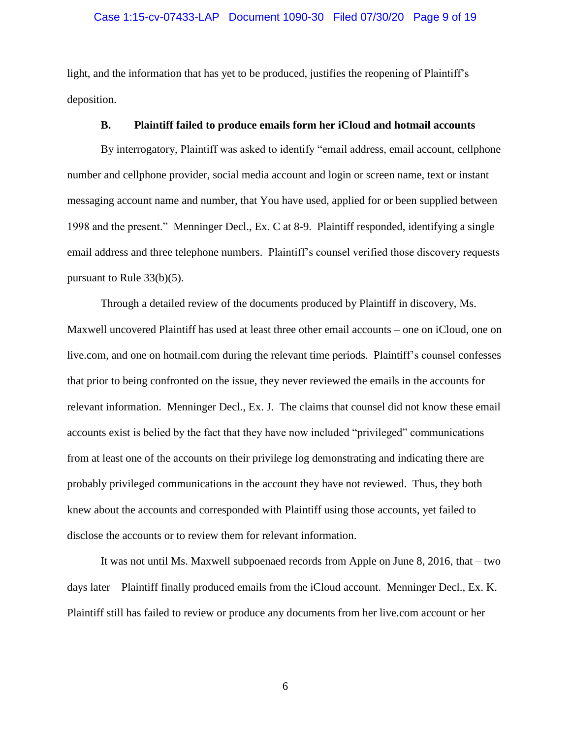#### Case 1:15-cv-07433-LAP Document 1090-30 Filed 07/30/20 Page 9 of 19

light, and the information that has yet to be produced, justifies the reopening of Plaintiff's deposition.

## **B. Plaintiff failed to produce emails form her iCloud and hotmail accounts**

By interrogatory, Plaintiff was asked to identify "email address, email account, cellphone number and cellphone provider, social media account and login or screen name, text or instant messaging account name and number, that You have used, applied for or been supplied between 1998 and the present." Menninger Decl., Ex. C at 8-9. Plaintiff responded, identifying a single email address and three telephone numbers. Plaintiff's counsel verified those discovery requests pursuant to Rule 33(b)(5).

Through a detailed review of the documents produced by Plaintiff in discovery, Ms. Maxwell uncovered Plaintiff has used at least three other email accounts – one on iCloud, one on live.com, and one on hotmail.com during the relevant time periods. Plaintiff's counsel confesses that prior to being confronted on the issue, they never reviewed the emails in the accounts for relevant information. Menninger Decl., Ex. J. The claims that counsel did not know these email accounts exist is belied by the fact that they have now included "privileged" communications from at least one of the accounts on their privilege log demonstrating and indicating there are probably privileged communications in the account they have not reviewed. Thus, they both knew about the accounts and corresponded with Plaintiff using those accounts, yet failed to disclose the accounts or to review them for relevant information.

It was not until Ms. Maxwell subpoenaed records from Apple on June 8, 2016, that – two days later – Plaintiff finally produced emails from the iCloud account. Menninger Decl., Ex. K. Plaintiff still has failed to review or produce any documents from her live.com account or her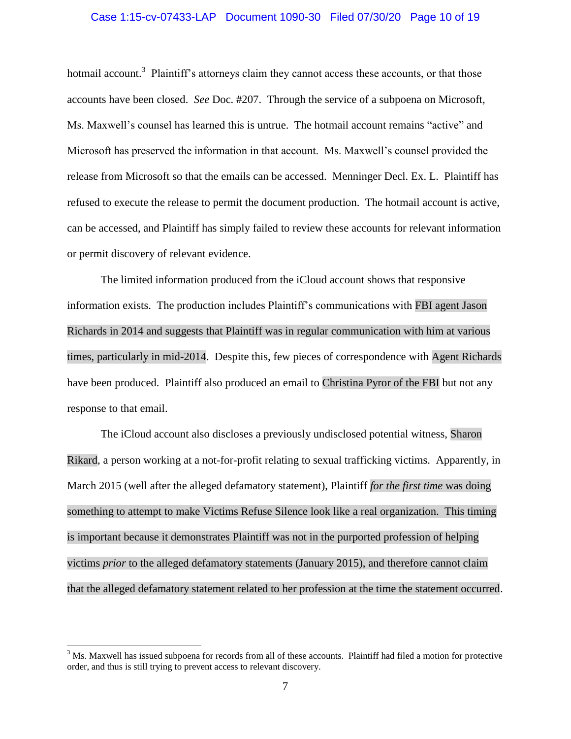#### Case 1:15-cv-07433-LAP Document 1090-30 Filed 07/30/20 Page 10 of 19

hotmail account.<sup>3</sup> Plaintiff's attorneys claim they cannot access these accounts, or that those accounts have been closed. *See* Doc. #207. Through the service of a subpoena on Microsoft, Ms. Maxwell's counsel has learned this is untrue. The hotmail account remains "active" and Microsoft has preserved the information in that account. Ms. Maxwell's counsel provided the release from Microsoft so that the emails can be accessed. Menninger Decl. Ex. L. Plaintiff has refused to execute the release to permit the document production. The hotmail account is active, can be accessed, and Plaintiff has simply failed to review these accounts for relevant information or permit discovery of relevant evidence.

The limited information produced from the iCloud account shows that responsive information exists. The production includes Plaintiff's communications with FBI agent Jason Richards in 2014 and suggests that Plaintiff was in regular communication with him at various times, particularly in mid-2014. Despite this, few pieces of correspondence with Agent Richards have been produced. Plaintiff also produced an email to Christina Pyror of the FBI but not any response to that email.

The iCloud account also discloses a previously undisclosed potential witness, Sharon Rikard, a person working at a not-for-profit relating to sexual trafficking victims. Apparently, in March 2015 (well after the alleged defamatory statement), Plaintiff *for the first time* was doing something to attempt to make Victims Refuse Silence look like a real organization. This timing is important because it demonstrates Plaintiff was not in the purported profession of helping victims *prior* to the alleged defamatory statements (January 2015), and therefore cannot claim that the alleged defamatory statement related to her profession at the time the statement occurred.

 $\overline{a}$ 

 $3$  Ms. Maxwell has issued subpoena for records from all of these accounts. Plaintiff had filed a motion for protective order, and thus is still trying to prevent access to relevant discovery.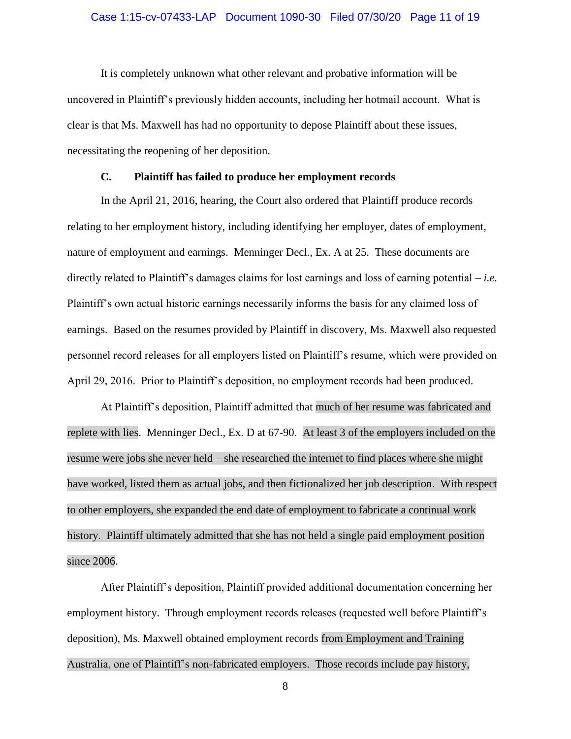#### Case 1:15-cv-07433-LAP Document 1090-30 Filed 07/30/20 Page 11 of 19

It is completely unknown what other relevant and probative information will be uncovered in Plaintiff's previously hidden accounts, including her hotmail account. What is clear is that Ms. Maxwell has had no opportunity to depose Plaintiff about these issues, necessitating the reopening of her deposition.

## **C. Plaintiff has failed to produce her employment records**

In the April 21, 2016, hearing, the Court also ordered that Plaintiff produce records relating to her employment history, including identifying her employer, dates of employment, nature of employment and earnings. Menninger Decl., Ex. A at 25. These documents are directly related to Plaintiff's damages claims for lost earnings and loss of earning potential – *i.e.* Plaintiff's own actual historic earnings necessarily informs the basis for any claimed loss of earnings. Based on the resumes provided by Plaintiff in discovery, Ms. Maxwell also requested personnel record releases for all employers listed on Plaintiff's resume, which were provided on April 29, 2016. Prior to Plaintiff's deposition, no employment records had been produced.

At Plaintiff's deposition, Plaintiff admitted that much of her resume was fabricated and replete with lies. Menninger Decl., Ex. D at 67-90. At least 3 of the employers included on the resume were jobs she never held – she researched the internet to find places where she might have worked, listed them as actual jobs, and then fictionalized her job description. With respect to other employers, she expanded the end date of employment to fabricate a continual work history. Plaintiff ultimately admitted that she has not held a single paid employment position since 2006.

After Plaintiff's deposition, Plaintiff provided additional documentation concerning her employment history. Through employment records releases (requested well before Plaintiff's deposition), Ms. Maxwell obtained employment records from Employment and Training Australia, one of Plaintiff's non-fabricated employers. Those records include pay history,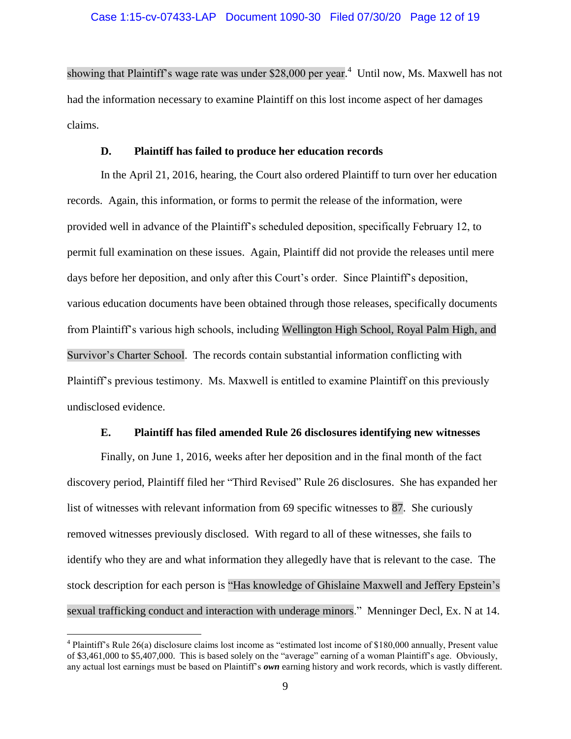showing that Plaintiff's wage rate was under \$28,000 per year.<sup>4</sup> Until now, Ms. Maxwell has not had the information necessary to examine Plaintiff on this lost income aspect of her damages claims.

#### **D. Plaintiff has failed to produce her education records**

In the April 21, 2016, hearing, the Court also ordered Plaintiff to turn over her education records. Again, this information, or forms to permit the release of the information, were provided well in advance of the Plaintiff's scheduled deposition, specifically February 12, to permit full examination on these issues. Again, Plaintiff did not provide the releases until mere days before her deposition, and only after this Court's order. Since Plaintiff's deposition, various education documents have been obtained through those releases, specifically documents from Plaintiff's various high schools, including Wellington High School, Royal Palm High, and Survivor's Charter School. The records contain substantial information conflicting with Plaintiff's previous testimony. Ms. Maxwell is entitled to examine Plaintiff on this previously undisclosed evidence.

### **E. Plaintiff has filed amended Rule 26 disclosures identifying new witnesses**

Finally, on June 1, 2016, weeks after her deposition and in the final month of the fact discovery period, Plaintiff filed her "Third Revised" Rule 26 disclosures. She has expanded her list of witnesses with relevant information from 69 specific witnesses to 87. She curiously removed witnesses previously disclosed. With regard to all of these witnesses, she fails to identify who they are and what information they allegedly have that is relevant to the case. The stock description for each person is "Has knowledge of Ghislaine Maxwell and Jeffery Epstein's sexual trafficking conduct and interaction with underage minors." Menninger Decl, Ex. N at 14.

 $\overline{a}$ 

<sup>&</sup>lt;sup>4</sup> Plaintiff's Rule 26(a) disclosure claims lost income as "estimated lost income of \$180,000 annually, Present value of \$3,461,000 to \$5,407,000. This is based solely on the "average" earning of a woman Plaintiff's age. Obviously, any actual lost earnings must be based on Plaintiff's *own* earning history and work records, which is vastly different.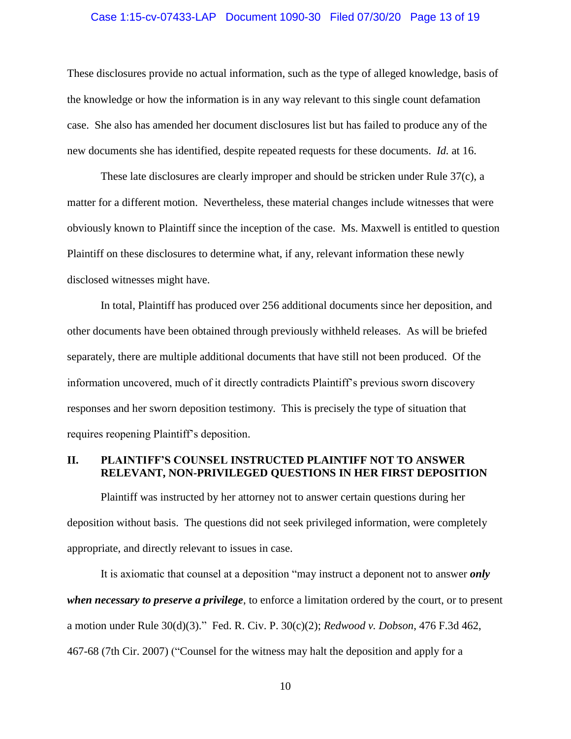#### Case 1:15-cv-07433-LAP Document 1090-30 Filed 07/30/20 Page 13 of 19

These disclosures provide no actual information, such as the type of alleged knowledge, basis of the knowledge or how the information is in any way relevant to this single count defamation case. She also has amended her document disclosures list but has failed to produce any of the new documents she has identified, despite repeated requests for these documents. *Id.* at 16.

These late disclosures are clearly improper and should be stricken under Rule 37(c), a matter for a different motion. Nevertheless, these material changes include witnesses that were obviously known to Plaintiff since the inception of the case. Ms. Maxwell is entitled to question Plaintiff on these disclosures to determine what, if any, relevant information these newly disclosed witnesses might have.

In total, Plaintiff has produced over 256 additional documents since her deposition, and other documents have been obtained through previously withheld releases. As will be briefed separately, there are multiple additional documents that have still not been produced. Of the information uncovered, much of it directly contradicts Plaintiff's previous sworn discovery responses and her sworn deposition testimony. This is precisely the type of situation that requires reopening Plaintiff's deposition.

# **II. PLAINTIFF'S COUNSEL INSTRUCTED PLAINTIFF NOT TO ANSWER RELEVANT, NON-PRIVILEGED QUESTIONS IN HER FIRST DEPOSITION**

Plaintiff was instructed by her attorney not to answer certain questions during her deposition without basis. The questions did not seek privileged information, were completely appropriate, and directly relevant to issues in case.

It is axiomatic that counsel at a deposition "may instruct a deponent not to answer *only when necessary to preserve a privilege*, to enforce a limitation ordered by the court, or to present a motion under Rule 30(d)(3)." Fed. R. Civ. P. 30(c)(2); *Redwood v. Dobson*, 476 F.3d 462, 467-68 (7th Cir. 2007) ("Counsel for the witness may halt the deposition and apply for a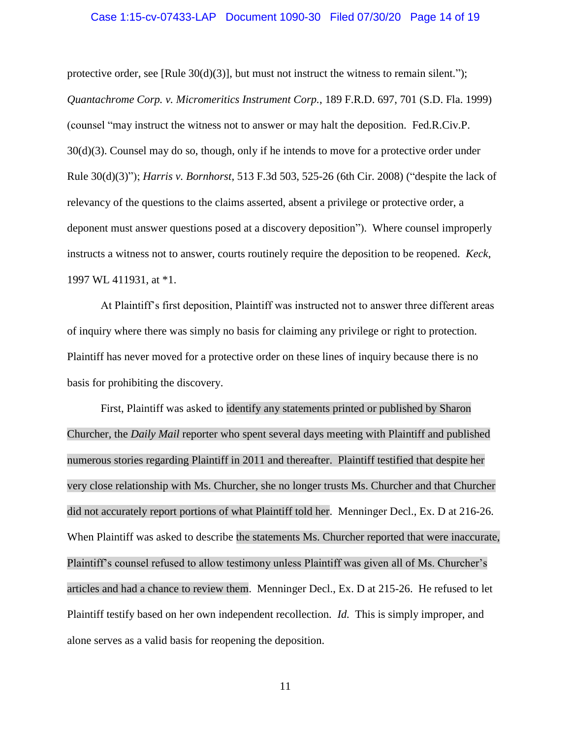#### Case 1:15-cv-07433-LAP Document 1090-30 Filed 07/30/20 Page 14 of 19

protective order, see [Rule  $30(d)(3)$ ], but must not instruct the witness to remain silent."); *Quantachrome Corp. v. Micromeritics Instrument Corp.*, 189 F.R.D. 697, 701 (S.D. Fla. 1999) (counsel "may instruct the witness not to answer or may halt the deposition. Fed.R.Civ.P. 30(d)(3). Counsel may do so, though, only if he intends to move for a protective order under Rule 30(d)(3)"); *Harris v. Bornhorst*, 513 F.3d 503, 525-26 (6th Cir. 2008) ("despite the lack of relevancy of the questions to the claims asserted, absent a privilege or protective order, a deponent must answer questions posed at a discovery deposition"). Where counsel improperly instructs a witness not to answer, courts routinely require the deposition to be reopened. *Keck*, 1997 WL 411931, at \*1.

At Plaintiff's first deposition, Plaintiff was instructed not to answer three different areas of inquiry where there was simply no basis for claiming any privilege or right to protection. Plaintiff has never moved for a protective order on these lines of inquiry because there is no basis for prohibiting the discovery.

First, Plaintiff was asked to identify any statements printed or published by Sharon Churcher, the *Daily Mail* reporter who spent several days meeting with Plaintiff and published numerous stories regarding Plaintiff in 2011 and thereafter. Plaintiff testified that despite her very close relationship with Ms. Churcher, she no longer trusts Ms. Churcher and that Churcher did not accurately report portions of what Plaintiff told her. Menninger Decl., Ex. D at 216-26. When Plaintiff was asked to describe the statements Ms. Churcher reported that were inaccurate, Plaintiff's counsel refused to allow testimony unless Plaintiff was given all of Ms. Churcher's articles and had a chance to review them. Menninger Decl., Ex. D at 215-26. He refused to let Plaintiff testify based on her own independent recollection. *Id.* This is simply improper, and alone serves as a valid basis for reopening the deposition.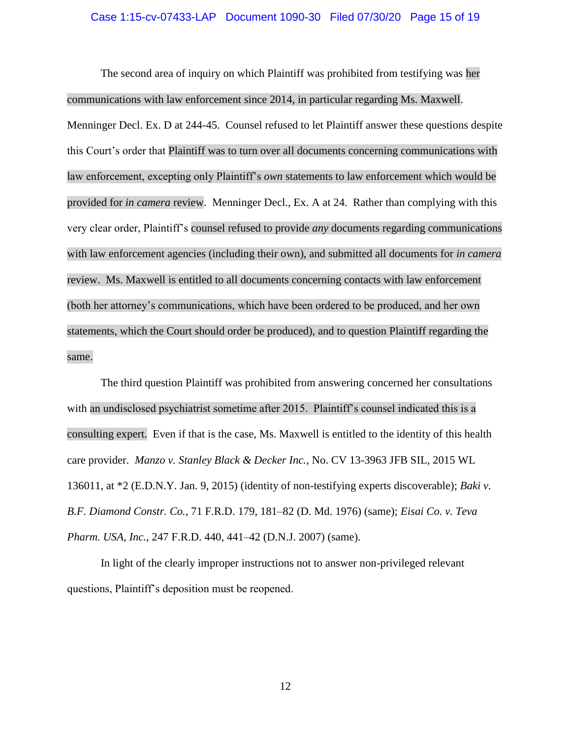#### Case 1:15-cv-07433-LAP Document 1090-30 Filed 07/30/20 Page 15 of 19

The second area of inquiry on which Plaintiff was prohibited from testifying was her communications with law enforcement since 2014, in particular regarding Ms. Maxwell. Menninger Decl. Ex. D at 244-45. Counsel refused to let Plaintiff answer these questions despite this Court's order that Plaintiff was to turn over all documents concerning communications with law enforcement, excepting only Plaintiff's *own* statements to law enforcement which would be provided for *in camera* review. Menninger Decl., Ex. A at 24. Rather than complying with this very clear order, Plaintiff's counsel refused to provide *any* documents regarding communications with law enforcement agencies (including their own), and submitted all documents for *in camera* review. Ms. Maxwell is entitled to all documents concerning contacts with law enforcement (both her attorney's communications, which have been ordered to be produced, and her own statements, which the Court should order be produced), and to question Plaintiff regarding the same.

The third question Plaintiff was prohibited from answering concerned her consultations with an undisclosed psychiatrist sometime after 2015. Plaintiff's counsel indicated this is a consulting expert. Even if that is the case, Ms. Maxwell is entitled to the identity of this health care provider. *Manzo v. Stanley Black & Decker Inc.*, No. CV 13-3963 JFB SIL, 2015 WL 136011, at \*2 (E.D.N.Y. Jan. 9, 2015) (identity of non-testifying experts discoverable); *Baki v. B.F. Diamond Constr. Co.*, 71 F.R.D. 179, 181–82 (D. Md. 1976) (same); *Eisai Co. v. Teva Pharm. USA, Inc.*, 247 F.R.D. 440, 441–42 (D.N.J. 2007) (same).

In light of the clearly improper instructions not to answer non-privileged relevant questions, Plaintiff's deposition must be reopened.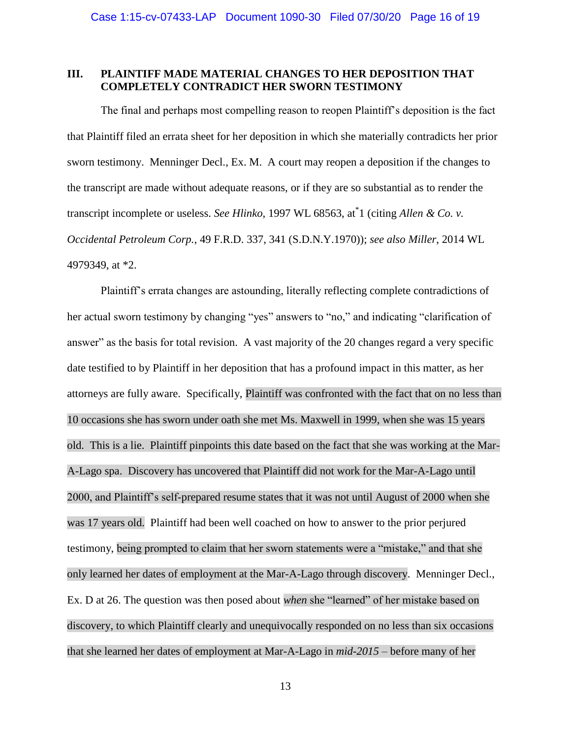# **III. PLAINTIFF MADE MATERIAL CHANGES TO HER DEPOSITION THAT COMPLETELY CONTRADICT HER SWORN TESTIMONY**

The final and perhaps most compelling reason to reopen Plaintiff's deposition is the fact that Plaintiff filed an errata sheet for her deposition in which she materially contradicts her prior sworn testimony. Menninger Decl., Ex. M. A court may reopen a deposition if the changes to the transcript are made without adequate reasons, or if they are so substantial as to render the transcript incomplete or useless. *See Hlinko*, 1997 WL 68563, at\* 1 (citing *Allen & Co. v. Occidental Petroleum Corp.*, 49 F.R.D. 337, 341 (S.D.N.Y.1970)); *see also Miller*, 2014 WL 4979349, at \*2.

Plaintiff's errata changes are astounding, literally reflecting complete contradictions of her actual sworn testimony by changing "yes" answers to "no," and indicating "clarification of answer" as the basis for total revision. A vast majority of the 20 changes regard a very specific date testified to by Plaintiff in her deposition that has a profound impact in this matter, as her attorneys are fully aware. Specifically, Plaintiff was confronted with the fact that on no less than 10 occasions she has sworn under oath she met Ms. Maxwell in 1999, when she was 15 years old. This is a lie. Plaintiff pinpoints this date based on the fact that she was working at the Mar-A-Lago spa. Discovery has uncovered that Plaintiff did not work for the Mar-A-Lago until 2000, and Plaintiff's self-prepared resume states that it was not until August of 2000 when she was 17 years old. Plaintiff had been well coached on how to answer to the prior perjured testimony, being prompted to claim that her sworn statements were a "mistake," and that she only learned her dates of employment at the Mar-A-Lago through discovery. Menninger Decl., Ex. D at 26. The question was then posed about *when* she "learned" of her mistake based on discovery, to which Plaintiff clearly and unequivocally responded on no less than six occasions that she learned her dates of employment at Mar-A-Lago in *mid-2015* – before many of her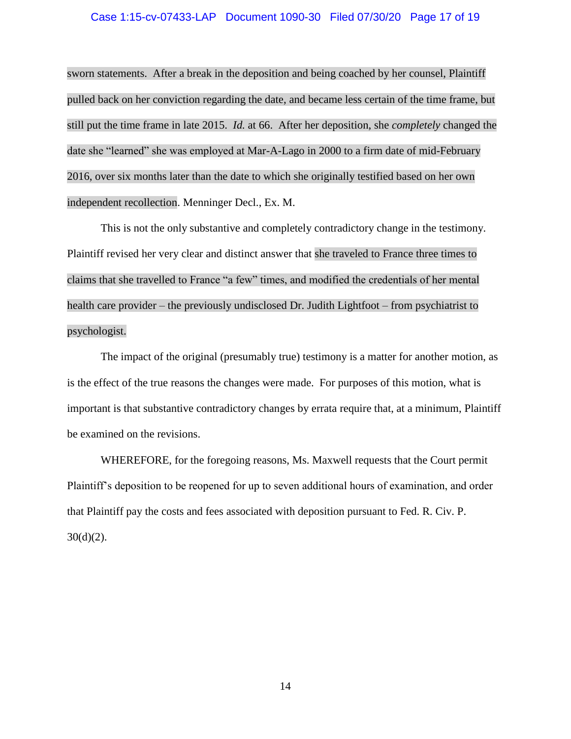#### Case 1:15-cv-07433-LAP Document 1090-30 Filed 07/30/20 Page 17 of 19

sworn statements. After a break in the deposition and being coached by her counsel, Plaintiff pulled back on her conviction regarding the date, and became less certain of the time frame, but still put the time frame in late 2015. *Id.* at 66. After her deposition, she *completely* changed the date she "learned" she was employed at Mar-A-Lago in 2000 to a firm date of mid-February 2016, over six months later than the date to which she originally testified based on her own independent recollection. Menninger Decl., Ex. M.

This is not the only substantive and completely contradictory change in the testimony. Plaintiff revised her very clear and distinct answer that she traveled to France three times to claims that she travelled to France "a few" times, and modified the credentials of her mental health care provider – the previously undisclosed Dr. Judith Lightfoot – from psychiatrist to psychologist.

The impact of the original (presumably true) testimony is a matter for another motion, as is the effect of the true reasons the changes were made. For purposes of this motion, what is important is that substantive contradictory changes by errata require that, at a minimum, Plaintiff be examined on the revisions.

WHEREFORE, for the foregoing reasons, Ms. Maxwell requests that the Court permit Plaintiff's deposition to be reopened for up to seven additional hours of examination, and order that Plaintiff pay the costs and fees associated with deposition pursuant to Fed. R. Civ. P.  $30(d)(2)$ .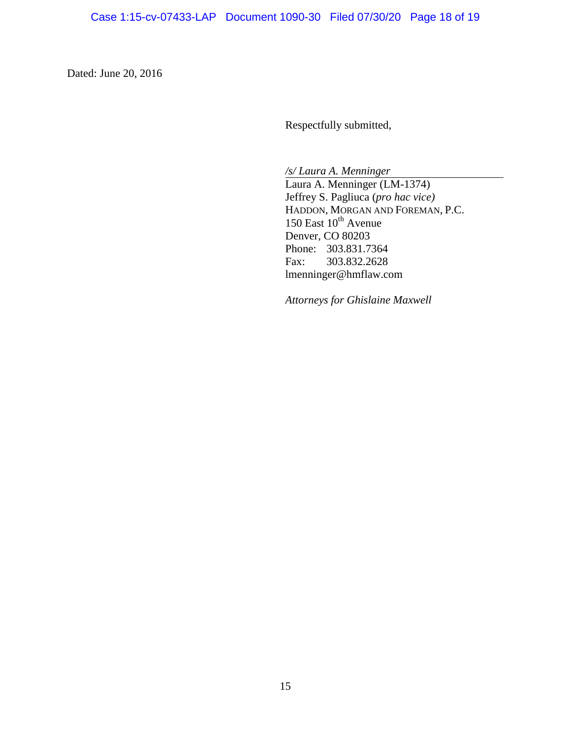Dated: June 20, 2016

Respectfully submitted,

*/s/ Laura A. Menninger*

Laura A. Menninger (LM-1374) Jeffrey S. Pagliuca (*pro hac vice)* HADDON, MORGAN AND FOREMAN, P.C. 150 East  $10^{th}$  Avenue Denver, CO 80203 Phone: 303.831.7364 Fax: 303.832.2628 lmenninger@hmflaw.com

*Attorneys for Ghislaine Maxwell*